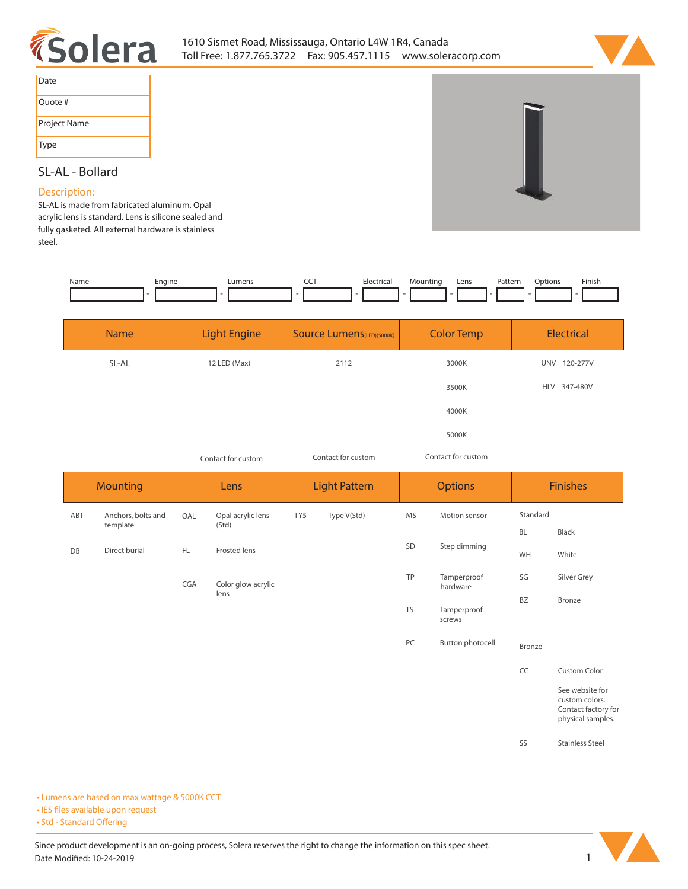



| Date         |
|--------------|
| Quote #      |
| Project Name |
| Type         |

# **SL-AL - Bollard**

#### **Description:**

**SL-AL is made from fabricated aluminum. Opal acrylic lens is standard. Lens is silicone sealed and fully gasketed. All external hardware is stainless steel.** 

| Name | Engine | Lumens | ---<br>$\sim$ $\sim$ | lectrical:<br>the contract of the contract of | Mounting | Lens | Pattern<br>. | :Dption<br>. | Finish. |
|------|--------|--------|----------------------|-----------------------------------------------|----------|------|--------------|--------------|---------|
|      |        |        |                      |                                               |          |      |              |              |         |

| <b>Name</b> | <b>Light Engine</b> | Source Lumens(LED)(5000K) | <b>Color Temp</b> | Electrical             |
|-------------|---------------------|---------------------------|-------------------|------------------------|
| SL-AL       | 12 LED (Max)        | 2112                      | 3000K             | 120-277V<br><b>UNV</b> |
|             |                     |                           | 3500K             | 347-480V<br><b>HLV</b> |
|             |                     |                           | 4000K             |                        |
|             |                     |                           | 5000K             |                        |

*Contact for custom Contact for custom*

*Contact for custom*

|     | <b>Mounting</b>                |     | Lens                       |     | <b>Light Pattern</b> |           | <b>Options</b>          |               | <b>Finishes</b>                                                               |  |
|-----|--------------------------------|-----|----------------------------|-----|----------------------|-----------|-------------------------|---------------|-------------------------------------------------------------------------------|--|
| ABT | Anchors, bolts and<br>template | OAL | Opal acrylic lens<br>(Std) | TY5 | Type V(Std)          | MS        | Motion sensor           | Standard      |                                                                               |  |
|     |                                |     |                            |     |                      |           |                         | BL            | Black                                                                         |  |
| DB  | Direct burial                  | FL. | Frosted lens               |     |                      | SD        | Step dimming            | WH            | White                                                                         |  |
|     |                                | CGA | Color glow acrylic<br>lens |     |                      | TP        | Tamperproof<br>hardware | SG            | Silver Grey                                                                   |  |
|     |                                |     |                            |     |                      | <b>TS</b> | Tamperproof<br>screws   | <b>BZ</b>     | Bronze                                                                        |  |
|     |                                |     |                            |     |                      | PC        | Button photocell        | <b>Bronze</b> |                                                                               |  |
|     |                                |     |                            |     |                      |           |                         | CC            | Custom Color                                                                  |  |
|     |                                |     |                            |     |                      |           |                         |               | See website for<br>custom colors.<br>Contact factory for<br>physical samples. |  |
|     |                                |     |                            |     |                      |           |                         | SS            | <b>Stainless Steel</b>                                                        |  |

**• Lumens are based on max wattage & 5000K CCT**

**• IES files available upon request** 

• Std - Standard Offering

Since product development is an on-going process, Solera reserves the right to change the information on this spec sheet. **Date Modified: 10-24-2019** 1